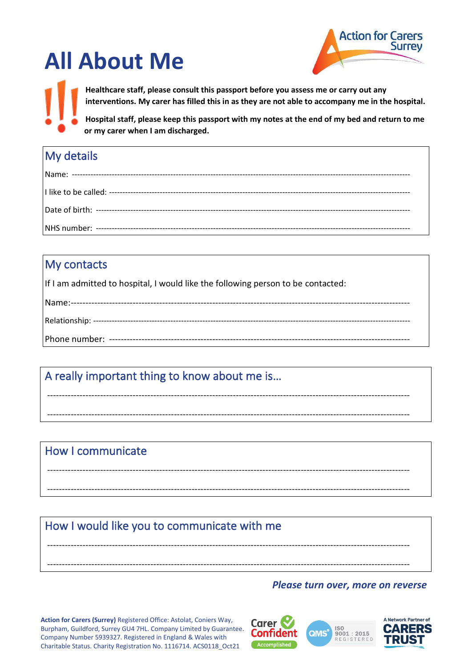# **All About Me**



**Healthcare staff, please consult this passport before you assess me or carry out any interventions. My carer has filled this in as they are not able to accompany me in the hospital.**

**Hospital staff, please keep this passport with my notes at the end of my bed and return to me or my carer when I am discharged.**

## My details

### My contacts

If I am admitted to hospital, I would like the following person to be contacted:

---------------------------------------------------------------------------------------------------------------------------

---------------------------------------------------------------------------------------------------------------------------

---------------------------------------------------------------------------------------------------------------------------

---------------------------------------------------------------------------------------------------------------------------

---------------------------------------------------------------------------------------------------------------------------

---------------------------------------------------------------------------------------------------------------------------

## A really important thing to know about me is…

### How I communicate

### How I would like you to communicate with me

#### *Please turn over, more on reverse*

**Action for Carers (Surrey)** Registered Office: Astolat, Coniers Way, Burpham, Guildford, Surrey GU4 7HL. Company Limited by Guarantee. Company Number 5939327. Registered in England & Wales with Charitable Status. Charity Registration No. 1116714. ACS0118\_Oct21